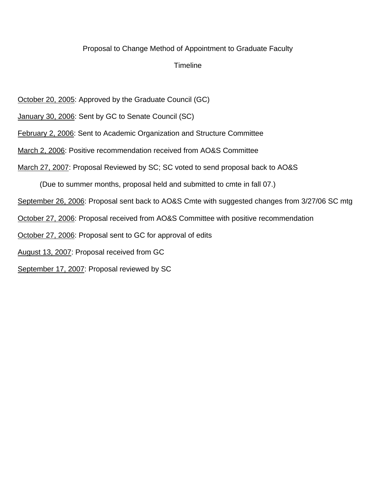#### Proposal to Change Method of Appointment to Graduate Faculty

### **Timeline**

October 20, 2005: Approved by the Graduate Council (GC)

- January 30, 2006: Sent by GC to Senate Council (SC)
- February 2, 2006: Sent to Academic Organization and Structure Committee
- March 2, 2006: Positive recommendation received from AO&S Committee
- March 27, 2007: Proposal Reviewed by SC; SC voted to send proposal back to AO&S

(Due to summer months, proposal held and submitted to cmte in fall 07.)

September 26, 2006: Proposal sent back to AO&S Cmte with suggested changes from 3/27/06 SC mtg

- October 27, 2006: Proposal received from AO&S Committee with positive recommendation
- October 27, 2006: Proposal sent to GC for approval of edits
- August 13, 2007: Proposal received from GC
- September 17, 2007: Proposal reviewed by SC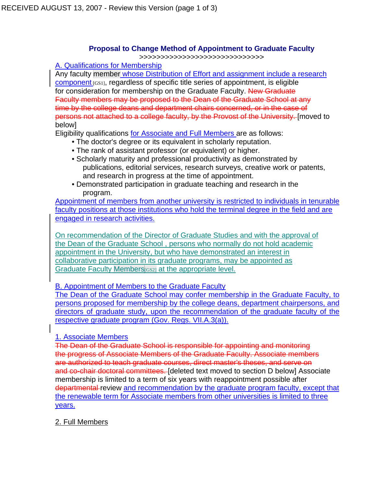### **Proposal to Change Method of Appointment to Graduate Faculty**

>>>>>>>>>>>>>>>>>>>>>>>>>>>>>

A. Qualifications for Membership

Any faculty member whose Distribution of Effort and assignment include a research component [GS1], regardless of specific title series of appointment, is eligible for consideration for membership on the Graduate Faculty. New Graduate Faculty members may be proposed to the Dean of the Graduate School at any time by the college deans and department chairs concerned, or in the case of persons not attached to a college faculty, by the Provost of the University. [moved to below]

Eligibility qualifications for Associate and Full Members are as follows:

- The doctor's degree or its equivalent in scholarly reputation.
- The rank of assistant professor (or equivalent) or higher.
- Scholarly maturity and professional productivity as demonstrated by publications, editorial services, research surveys, creative work or patents, and research in progress at the time of appointment.
- Demonstrated participation in graduate teaching and research in the program.

Appointment of members from another university is restricted to individuals in tenurable faculty positions at those institutions who hold the terminal degree in the field and are engaged in research activities.

On recommendation of the Director of Graduate Studies and with the approval of the Dean of the Graduate School , persons who normally do not hold academic appointment in the University, but who have demonstrated an interest in collaborative participation in its graduate programs, may be appointed as Graduate Faculty Members <sub>GS21</sub> at the appropriate level.

B. Appointment of Members to the Graduate Faculty

The Dean of the Graduate School may confer membership in the Graduate Faculty, to persons proposed for membership by the college deans, department chairpersons, and directors of graduate study, upon the recommendation of the graduate faculty of the respective graduate program (Gov. Regs. VII.A.3(a)).

### 1. Associate Members

The Dean of the Graduate School is responsible for appointing and monitoring the progress of Associate Members of the Graduate Faculty. Associate members are authorized to teach graduate courses, direct master's theses, and serve on and co-chair doctoral committees. [deleted text moved to section D below] Associate membership is limited to a term of six years with reappointment possible after departmental review and recommendation by the graduate program faculty, except that the renewable term for Associate members from other universities is limited to three years.

2. Full Members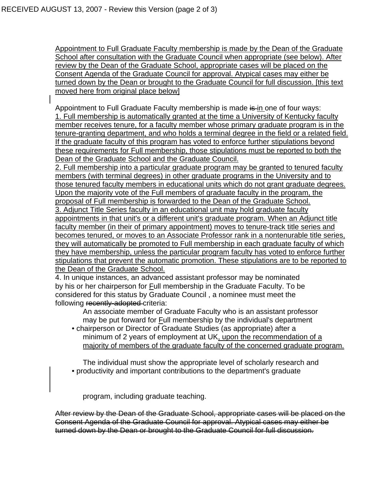Appointment to Full Graduate Faculty membership is made by the Dean of the Graduate School after consultation with the Graduate Council when appropriate (see below). After review by the Dean of the Graduate School, appropriate cases will be placed on the Consent Agenda of the Graduate Council for approval. Atypical cases may either be turned down by the Dean or brought to the Graduate Council for full discussion. [this text moved here from original place below]

Appointment to Full Graduate Faculty membership is made is in one of four ways: 1. Full membership is automatically granted at the time a University of Kentucky faculty member receives tenure, for a faculty member whose primary graduate program is in the tenure-granting department, and who holds a terminal degree in the field or a related field. If the graduate faculty of this program has voted to enforce further stipulations beyond these requirements for Full membership, those stipulations must be reported to both the Dean of the Graduate School and the Graduate Council.

2. Full membership into a particular graduate program may be granted to tenured faculty members (with terminal degrees) in other graduate programs in the University and to those tenured faculty members in educational units which do not grant graduate degrees. Upon the majority vote of the Full members of graduate faculty in the program, the proposal of Full membership is forwarded to the Dean of the Graduate School. 3. Adjunct Title Series faculty in an educational unit may hold graduate faculty appointments in that unit's or a different unit's graduate program. When an Adjunct title faculty member (in their of primary appointment) moves to tenure-track title series and becomes tenured, or moves to an Associate Professor rank in a nontenurable title series, they will automatically be promoted to Full membership in each graduate faculty of which they have membership, unless the particular program faculty has voted to enforce further stipulations that prevent the automatic promotion. These stipulations are to be reported to the Dean of the Graduate School.

4. In unique instances, an advanced assistant professor may be nominated by his or her chairperson for Full membership in the Graduate Faculty. To be considered for this status by Graduate Council , a nominee must meet the following recently-adopted criteria:

An associate member of Graduate Faculty who is an assistant professor may be put forward for Full membership by the individual's department

• chairperson or Director of Graduate Studies (as appropriate) after a minimum of 2 years of employment at UK, upon the recommendation of a majority of members of the graduate faculty of the concerned graduate program.

The individual must show the appropriate level of scholarly research and • productivity and important contributions to the department's graduate

program, including graduate teaching.

After review by the Dean of the Graduate School, appropriate cases will be placed on the Consent Agenda of the Graduate Council for approval. Atypical cases may either be turned down by the Dean or brought to the Graduate Council for full discussion.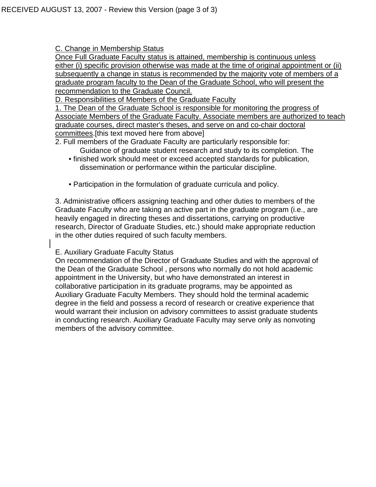C. Change in Membership Status

Once Full Graduate Faculty status is attained, membership is continuous unless either (i) specific provision otherwise was made at the time of original appointment or (ii) subsequently a change in status is recommended by the majority vote of members of a graduate program faculty to the Dean of the Graduate School, who will present the recommendation to the Graduate Council.

D. Responsibilities of Members of the Graduate Faculty

1. The Dean of the Graduate School is responsible for monitoring the progress of Associate Members of the Graduate Faculty. Associate members are authorized to teach graduate courses, direct master's theses, and serve on and co-chair doctoral committees.[this text moved here from above]

2. Full members of the Graduate Faculty are particularly responsible for:

- Guidance of graduate student research and study to its completion. The • finished work should meet or exceed accepted standards for publication,
	- dissemination or performance within the particular discipline.
- Participation in the formulation of graduate curricula and policy.

3. Administrative officers assigning teaching and other duties to members of the Graduate Faculty who are taking an active part in the graduate program (i.e., are heavily engaged in directing theses and dissertations, carrying on productive research, Director of Graduate Studies, etc.) should make appropriate reduction in the other duties required of such faculty members.

### E. Auxiliary Graduate Faculty Status

On recommendation of the Director of Graduate Studies and with the approval of the Dean of the Graduate School , persons who normally do not hold academic appointment in the University, but who have demonstrated an interest in collaborative participation in its graduate programs, may be appointed as Auxiliary Graduate Faculty Members. They should hold the terminal academic degree in the field and possess a record of research or creative experience that would warrant their inclusion on advisory committees to assist graduate students in conducting research. Auxiliary Graduate Faculty may serve only as nonvoting members of the advisory committee.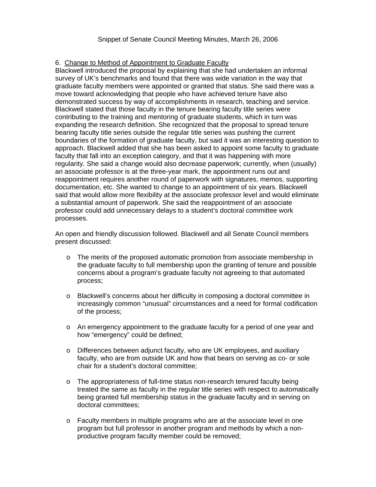#### 6. Change to Method of Appointment to Graduate Faculty

Blackwell introduced the proposal by explaining that she had undertaken an informal survey of UK's benchmarks and found that there was wide variation in the way that graduate faculty members were appointed or granted that status. She said there was a move toward acknowledging that people who have achieved tenure have also demonstrated success by way of accomplishments in research, teaching and service. Blackwell stated that those faculty in the tenure bearing faculty title series were contributing to the training and mentoring of graduate students, which in turn was expanding the research definition. She recognized that the proposal to spread tenure bearing faculty title series outside the regular title series was pushing the current boundaries of the formation of graduate faculty, but said it was an interesting question to approach. Blackwell added that she has been asked to appoint some faculty to graduate faculty that fall into an exception category, and that it was happening with more regularity. She said a change would also decrease paperwork; currently, when (usually) an associate professor is at the three-year mark, the appointment runs out and reappointment requires another round of paperwork with signatures, memos, supporting documentation, etc. She wanted to change to an appointment of six years. Blackwell said that would allow more flexibility at the associate professor level and would eliminate a substantial amount of paperwork. She said the reappointment of an associate professor could add unnecessary delays to a student's doctoral committee work processes.

An open and friendly discussion followed. Blackwell and all Senate Council members present discussed:

- o The merits of the proposed automatic promotion from associate membership in the graduate faculty to full membership upon the granting of tenure and possible concerns about a program's graduate faculty not agreeing to that automated process;
- o Blackwell's concerns about her difficulty in composing a doctoral committee in increasingly common "unusual" circumstances and a need for formal codification of the process;
- o An emergency appointment to the graduate faculty for a period of one year and how "emergency" could be defined;
- o Differences between adjunct faculty, who are UK employees, and auxiliary faculty, who are from outside UK and how that bears on serving as co- or sole chair for a student's doctoral committee;
- o The appropriateness of full-time status non-research tenured faculty being treated the same as faculty in the regular title series with respect to automatically being granted full membership status in the graduate faculty and in serving on doctoral committees;
- o Faculty members in multiple programs who are at the associate level in one program but full professor in another program and methods by which a nonproductive program faculty member could be removed;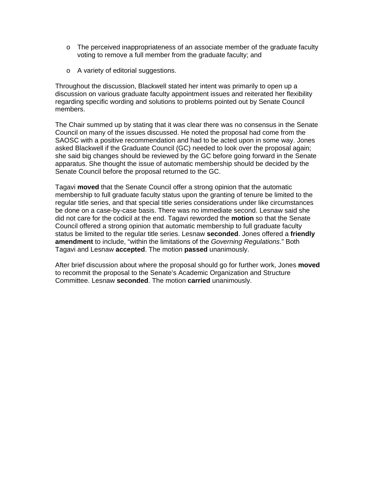- $\circ$  The perceived inappropriateness of an associate member of the graduate faculty voting to remove a full member from the graduate faculty; and
- o A variety of editorial suggestions.

Throughout the discussion, Blackwell stated her intent was primarily to open up a discussion on various graduate faculty appointment issues and reiterated her flexibility regarding specific wording and solutions to problems pointed out by Senate Council members.

The Chair summed up by stating that it was clear there was no consensus in the Senate Council on many of the issues discussed. He noted the proposal had come from the SAOSC with a positive recommendation and had to be acted upon in some way. Jones asked Blackwell if the Graduate Council (GC) needed to look over the proposal again; she said big changes should be reviewed by the GC before going forward in the Senate apparatus. She thought the issue of automatic membership should be decided by the Senate Council before the proposal returned to the GC.

Tagavi **moved** that the Senate Council offer a strong opinion that the automatic membership to full graduate faculty status upon the granting of tenure be limited to the regular title series, and that special title series considerations under like circumstances be done on a case-by-case basis. There was no immediate second. Lesnaw said she did not care for the codicil at the end. Tagavi reworded the **motion** so that the Senate Council offered a strong opinion that automatic membership to full graduate faculty status be limited to the regular title series. Lesnaw **seconded**. Jones offered a **friendly amendment** to include, "within the limitations of the *Governing Regulations*." Both Tagavi and Lesnaw **accepted**. The motion **passed** unanimously.

After brief discussion about where the proposal should go for further work, Jones **moved** to recommit the proposal to the Senate's Academic Organization and Structure Committee. Lesnaw **seconded**. The motion **carried** unanimously.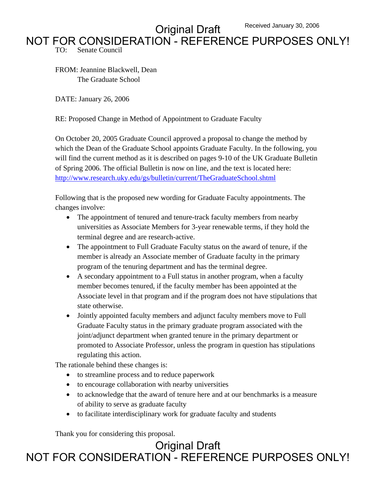Original Draft Received January 30, 2006

# NOT FOR CONSIDERATION - REFERENCE PURPOSES ONLY!

TO: Senate Council

FROM: Jeannine Blackwell, Dean The Graduate School

DATE: January 26, 2006

RE: Proposed Change in Method of Appointment to Graduate Faculty

On October 20, 2005 Graduate Council approved a proposal to change the method by which the Dean of the Graduate School appoints Graduate Faculty. In the following, you will find the current method as it is described on pages 9-10 of the UK Graduate Bulletin of Spring 2006. The official Bulletin is now on line, and the text is located here: <http://www.research.uky.edu/gs/bulletin/current/TheGraduateSchool.shtml>

Following that is the proposed new wording for Graduate Faculty appointments. The changes involve:

- The appointment of tenured and tenure-track faculty members from nearby universities as Associate Members for 3-year renewable terms, if they hold the terminal degree and are research-active.
- The appointment to Full Graduate Faculty status on the award of tenure, if the member is already an Associate member of Graduate faculty in the primary program of the tenuring department and has the terminal degree.
- A secondary appointment to a Full status in another program, when a faculty member becomes tenured, if the faculty member has been appointed at the Associate level in that program and if the program does not have stipulations that state otherwise.
- Jointly appointed faculty members and adjunct faculty members move to Full Graduate Faculty status in the primary graduate program associated with the joint/adjunct department when granted tenure in the primary department or promoted to Associate Professor, unless the program in question has stipulations regulating this action.

The rationale behind these changes is:

- to streamline process and to reduce paperwork
- to encourage collaboration with nearby universities
- to acknowledge that the award of tenure here and at our benchmarks is a measure of ability to serve as graduate faculty
- to facilitate interdisciplinary work for graduate faculty and students

Thank you for considering this proposal.

Original Draft NOT FOR CONSIDERATION - REFERENCE PURPOSES ONLY!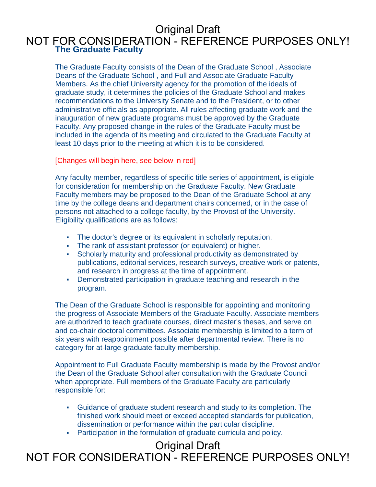### **The Graduate Faculty**  NOT FOR CONSIDERATION - REFERENCE PURPOSES ONLY!

The Graduate Faculty consists of the Dean of the Graduate School , Associate Deans of the Graduate School , and Full and Associate Graduate Faculty Members. As the chief University agency for the promotion of the ideals of graduate study, it determines the policies of the Graduate School and makes recommendations to the University Senate and to the President, or to other administrative officials as appropriate. All rules affecting graduate work and the inauguration of new graduate programs must be approved by the Graduate Faculty. Any proposed change in the rules of the Graduate Faculty must be included in the agenda of its meeting and circulated to the Graduate Faculty at least 10 days prior to the meeting at which it is to be considered.

#### [Changes will begin here, see below in red]

Any faculty member, regardless of specific title series of appointment, is eligible for consideration for membership on the Graduate Faculty. New Graduate Faculty members may be proposed to the Dean of the Graduate School at any time by the college deans and department chairs concerned, or in the case of persons not attached to a college faculty, by the Provost of the University. Eligibility qualifications are as follows:

- The doctor's degree or its equivalent in scholarly reputation.
- The rank of assistant professor (or equivalent) or higher.
- Scholarly maturity and professional productivity as demonstrated by publications, editorial services, research surveys, creative work or patents, and research in progress at the time of appointment.
- Demonstrated participation in graduate teaching and research in the program.

The Dean of the Graduate School is responsible for appointing and monitoring the progress of Associate Members of the Graduate Faculty. Associate members are authorized to teach graduate courses, direct master's theses, and serve on and co-chair doctoral committees. Associate membership is limited to a term of six years with reappointment possible after departmental review. There is no category for at-large graduate faculty membership.

Appointment to Full Graduate Faculty membership is made by the Provost and/or the Dean of the Graduate School after consultation with the Graduate Council when appropriate. Full members of the Graduate Faculty are particularly responsible for:

- Guidance of graduate student research and study to its completion. The finished work should meet or exceed accepted standards for publication, dissemination or performance within the particular discipline.
- Participation in the formulation of graduate curricula and policy.

## Original Draft

NOT FOR CONSIDERATION - REFERENCE PURPOSES ONLY!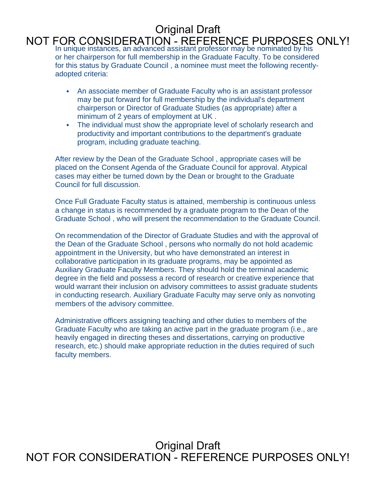### NOT FOR CONSIDERATION - REFERENCE PURPOSES ONLY!<br>In unique instances, an advanced assistant professor may be nominated by his or her chairperson for full membership in the Graduate Faculty. To be considered for this status by Graduate Council , a nominee must meet the following recentlyadopted criteria:

- An associate member of Graduate Faculty who is an assistant professor may be put forward for full membership by the individual's department chairperson or Director of Graduate Studies (as appropriate) after a minimum of 2 years of employment at UK .
- The individual must show the appropriate level of scholarly research and productivity and important contributions to the department's graduate program, including graduate teaching.

After review by the Dean of the Graduate School , appropriate cases will be placed on the Consent Agenda of the Graduate Council for approval. Atypical cases may either be turned down by the Dean or brought to the Graduate Council for full discussion.

Once Full Graduate Faculty status is attained, membership is continuous unless a change in status is recommended by a graduate program to the Dean of the Graduate School , who will present the recommendation to the Graduate Council.

On recommendation of the Director of Graduate Studies and with the approval of the Dean of the Graduate School , persons who normally do not hold academic appointment in the University, but who have demonstrated an interest in collaborative participation in its graduate programs, may be appointed as Auxiliary Graduate Faculty Members. They should hold the terminal academic degree in the field and possess a record of research or creative experience that would warrant their inclusion on advisory committees to assist graduate students in conducting research. Auxiliary Graduate Faculty may serve only as nonvoting members of the advisory committee.

Administrative officers assigning teaching and other duties to members of the Graduate Faculty who are taking an active part in the graduate program (i.e., are heavily engaged in directing theses and dissertations, carrying on productive research, etc.) should make appropriate reduction in the duties required of such faculty members.

Original Draft NOT FOR CONSIDERATION - REFERENCE PURPOSES ONLY!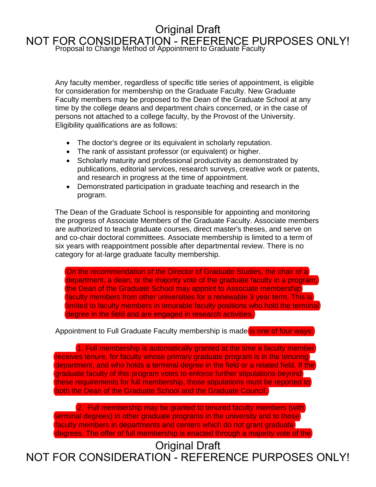# NOT FOR CONSIDERATION - REFERENCE PURPOSES ONLY!<br>Proposal to Change Method of Appointment to Graduate Faculty Original Draft

Any faculty member, regardless of specific title series of appointment, is eligible for consideration for membership on the Graduate Faculty. New Graduate Faculty members may be proposed to the Dean of the Graduate School at any time by the college deans and department chairs concerned, or in the case of persons not attached to a college faculty, by the Provost of the University. Eligibility qualifications are as follows:

- The doctor's degree or its equivalent in scholarly reputation.
- The rank of assistant professor (or equivalent) or higher.
- Scholarly maturity and professional productivity as demonstrated by publications, editorial services, research surveys, creative work or patents, and research in progress at the time of appointment.
- Demonstrated participation in graduate teaching and research in the program.

The Dean of the Graduate School is responsible for appointing and monitoring the progress of Associate Members of the Graduate Faculty. Associate members are authorized to teach graduate courses, direct master's theses, and serve on and co-chair doctoral committees. Associate membership is limited to a term of six years with reappointment possible after departmental review. There is no category for at-large graduate faculty membership.

On the recommendation of the Director of Graduate Studies, the chair of a department, a dean, or the majority vote of the graduate faculty in a program, the Dean of the Graduate School may appoint to Associate membership faculty members from other universities for a renewable 3 year term. This is limited to faculty members in tenurable faculty positions who hold the terminal degree in the field and are engaged in research activities.

#### Appointment to Full Graduate Faculty membership is made is one of four ways:

1. Full membership is automatically granted at the time a faculty member receives tenure, for faculty whose primary graduate program is in the tenuring department, and who holds a terminal degree in the field or a related field. If the graduate faculty of this program votes to enforce further stipulations beyond these requirements for full membership, those stipulations must be reported to both the Dean of the Graduate School and the Graduate Council,

2. Full membership may be granted to tenured faculty members (with terminal degrees) in other graduate programs in the university and to those faculty members in departments and centers which do not grant graduate degrees. The offer of full membership is enacted through a majority vote of the

Original Draft

NOT FOR CONSIDERATION - REFERENCE PURPOSES ONLY!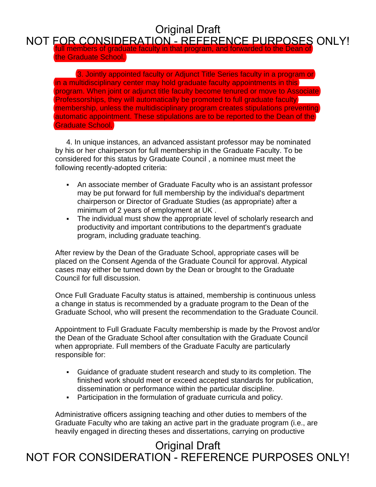#### full members of graduate faculty in that program, and forwarded to the Dean of NOT FOR CONSIDERATION - REFERENCE PURPOSES ONLY!

the Graduate School.

3. Jointly appointed faculty or Adjunct Title Series faculty in a program or in a multidisciplinary center may hold graduate faculty appointments in this program. When joint or adjunct title faculty become tenured or move to Associate Professorships, they will automatically be promoted to full graduate faculty membership, unless the multidisciplinary program creates stipulations preventing automatic appointment. These stipulations are to be reported to the Dean of the Graduate School.

4. In unique instances, an advanced assistant professor may be nominated by his or her chairperson for full membership in the Graduate Faculty. To be considered for this status by Graduate Council , a nominee must meet the following recently-adopted criteria:

- An associate member of Graduate Faculty who is an assistant professor may be put forward for full membership by the individual's department chairperson or Director of Graduate Studies (as appropriate) after a minimum of 2 years of employment at UK .
- The individual must show the appropriate level of scholarly research and productivity and important contributions to the department's graduate program, including graduate teaching.

After review by the Dean of the Graduate School, appropriate cases will be placed on the Consent Agenda of the Graduate Council for approval. Atypical cases may either be turned down by the Dean or brought to the Graduate Council for full discussion.

Once Full Graduate Faculty status is attained, membership is continuous unless a change in status is recommended by a graduate program to the Dean of the Graduate School, who will present the recommendation to the Graduate Council.

Appointment to Full Graduate Faculty membership is made by the Provost and/or the Dean of the Graduate School after consultation with the Graduate Council when appropriate. Full members of the Graduate Faculty are particularly responsible for:

- Guidance of graduate student research and study to its completion. The finished work should meet or exceed accepted standards for publication, dissemination or performance within the particular discipline.
- Participation in the formulation of graduate curricula and policy.

Administrative officers assigning teaching and other duties to members of the Graduate Faculty who are taking an active part in the graduate program (i.e., are heavily engaged in directing theses and dissertations, carrying on productive

## Original Draft NOT FOR CONSIDERATION - REFERENCE PURPOSES ONLY!